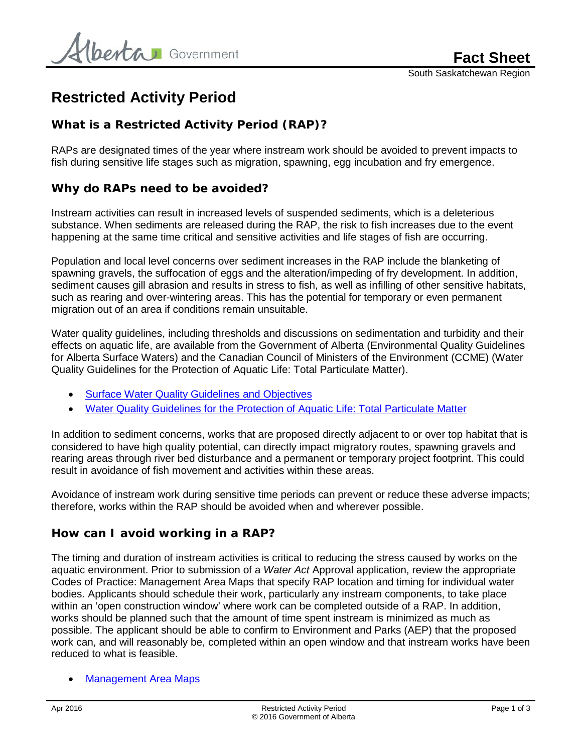# **Restricted Activity Period**

### **What is a Restricted Activity Period (RAP)?**

RAPs are designated times of the year where instream work should be avoided to prevent impacts to fish during sensitive life stages such as migration, spawning, egg incubation and fry emergence.

#### **Why do RAPs need to be avoided?**

Instream activities can result in increased levels of suspended sediments, which is a deleterious substance. When sediments are released during the RAP, the risk to fish increases due to the event happening at the same time critical and sensitive activities and life stages of fish are occurring.

Population and local level concerns over sediment increases in the RAP include the blanketing of spawning gravels, the suffocation of eggs and the alteration/impeding of fry development. In addition, sediment causes gill abrasion and results in stress to fish, as well as infilling of other sensitive habitats, such as rearing and over-wintering areas. This has the potential for temporary or even permanent migration out of an area if conditions remain unsuitable.

Water quality guidelines, including thresholds and discussions on sedimentation and turbidity and their effects on aquatic life, are available from the Government of Alberta (Environmental Quality Guidelines for Alberta Surface Waters) and the Canadian Council of Ministers of the Environment (CCME) (Water Quality Guidelines for the Protection of Aquatic Life: Total Particulate Matter).

- [Surface Water Quality Guidelines and Objectives](http://esrd.alberta.ca/water/education-guidelines/surface-water-quality-guidelines-and-objectives.aspx)
- [Water Quality Guidelines for the Protection of Aquatic Life: Total Particulate Matter](http://ceqg-rcqe.ccme.ca/download/en/217)

In addition to sediment concerns, works that are proposed directly adjacent to or over top habitat that is considered to have high quality potential, can directly impact migratory routes, spawning gravels and rearing areas through river bed disturbance and a permanent or temporary project footprint. This could result in avoidance of fish movement and activities within these areas.

Avoidance of instream work during sensitive time periods can prevent or reduce these adverse impacts; therefore, works within the RAP should be avoided when and wherever possible.

#### **How can I avoid working in a RAP?**

The timing and duration of instream activities is critical to reducing the stress caused by works on the aquatic environment. Prior to submission of a *Water Act* Approval application, review the appropriate Codes of Practice: Management Area Maps that specify RAP location and timing for individual water bodies. Applicants should schedule their work, particularly any instream components, to take place within an 'open construction window' where work can be completed outside of a RAP. In addition, works should be planned such that the amount of time spent instream is minimized as much as possible. The applicant should be able to confirm to Environment and Parks (AEP) that the proposed work can, and will reasonably be, completed within an open window and that instream works have been reduced to what is feasible.

• [Management Area Maps](http://aep.alberta.ca/water/legislation-guidelines/codes-of-practice-pipelines-telecommunications-lines-crossing-a-water-body-water-course-crossings.aspx)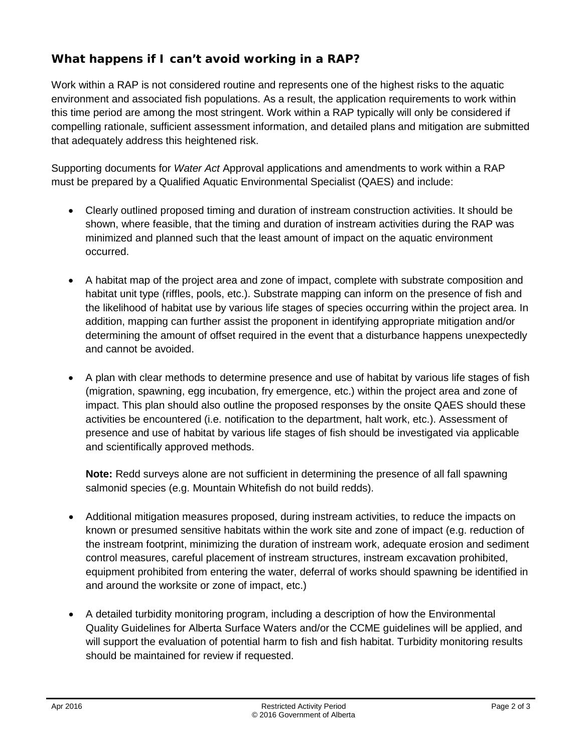# **What happens if I can't avoid working in a RAP?**

Work within a RAP is not considered routine and represents one of the highest risks to the aquatic environment and associated fish populations. As a result, the application requirements to work within this time period are among the most stringent. Work within a RAP typically will only be considered if compelling rationale, sufficient assessment information, and detailed plans and mitigation are submitted that adequately address this heightened risk.

Supporting documents for *Water Act* Approval applications and amendments to work within a RAP must be prepared by a Qualified Aquatic Environmental Specialist (QAES) and include:

- Clearly outlined proposed timing and duration of instream construction activities. It should be shown, where feasible, that the timing and duration of instream activities during the RAP was minimized and planned such that the least amount of impact on the aquatic environment occurred.
- A habitat map of the project area and zone of impact, complete with substrate composition and habitat unit type (riffles, pools, etc.). Substrate mapping can inform on the presence of fish and the likelihood of habitat use by various life stages of species occurring within the project area. In addition, mapping can further assist the proponent in identifying appropriate mitigation and/or determining the amount of offset required in the event that a disturbance happens unexpectedly and cannot be avoided.
- A plan with clear methods to determine presence and use of habitat by various life stages of fish (migration, spawning, egg incubation, fry emergence, etc.) within the project area and zone of impact. This plan should also outline the proposed responses by the onsite QAES should these activities be encountered (i.e. notification to the department, halt work, etc.). Assessment of presence and use of habitat by various life stages of fish should be investigated via applicable and scientifically approved methods.

**Note:** Redd surveys alone are not sufficient in determining the presence of all fall spawning salmonid species (e.g. Mountain Whitefish do not build redds).

- Additional mitigation measures proposed, during instream activities, to reduce the impacts on known or presumed sensitive habitats within the work site and zone of impact (e.g. reduction of the instream footprint, minimizing the duration of instream work, adequate erosion and sediment control measures, careful placement of instream structures, instream excavation prohibited, equipment prohibited from entering the water, deferral of works should spawning be identified in and around the worksite or zone of impact, etc.)
- A detailed turbidity monitoring program, including a description of how the Environmental Quality Guidelines for Alberta Surface Waters and/or the CCME guidelines will be applied, and will support the evaluation of potential harm to fish and fish habitat. Turbidity monitoring results should be maintained for review if requested.